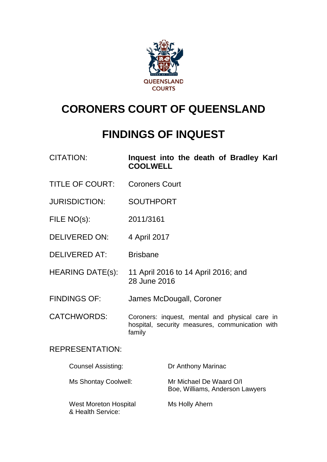

# **CORONERS COURT OF QUEENSLAND**

## **FINDINGS OF INQUEST**

| <b>CITATION:</b> |                 |  |  | Inquest into the death of Bradley Karl |  |
|------------------|-----------------|--|--|----------------------------------------|--|
|                  | <b>COOLWELL</b> |  |  |                                        |  |

- TITLE OF COURT: Coroners Court
- JURISDICTION: SOUTHPORT
- FILE NO(s): 2011/3161
- DELIVERED ON: 4 April 2017
- DELIVERED AT: Brisbane
- HEARING DATE(s): 11 April 2016 to 14 April 2016; and 28 June 2016
- FINDINGS OF: James McDougall, Coroner
- CATCHWORDS: Coroners: inquest, mental and physical care in hospital, security measures, communication with family

### REPRESENTATION:

| <b>Counsel Assisting:</b>                         | Dr Anthony Marinac                                         |
|---------------------------------------------------|------------------------------------------------------------|
| Ms Shontay Coolwell:                              | Mr Michael De Waard O/I<br>Boe, Williams, Anderson Lawyers |
| <b>West Moreton Hospital</b><br>& Health Service: | Ms Holly Ahern                                             |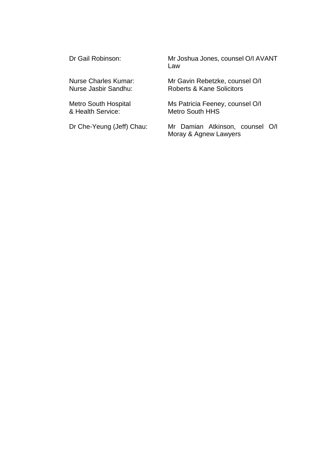Dr Gail Robinson: Mr Joshua Jones, counsel O/I AVANT Law

Nurse Charles Kumar: Mr Gavin Rebetzke, counsel O/I<br>Nurse Jasbir Sandhu: Roberts & Kane Solicitors Roberts & Kane Solicitors

Metro South Hospital Ms Patricia Feeney, counsel O/I<br>& Health Service: Metro South HHS Metro South HHS

Dr Che-Yeung (Jeff) Chau: Mr Damian Atkinson, counsel O/I Moray & Agnew Lawyers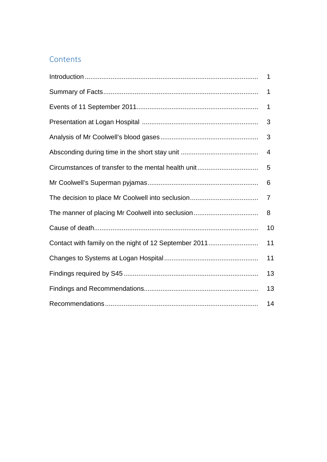### **Contents**

<span id="page-2-0"></span>

|                                                       | 1              |
|-------------------------------------------------------|----------------|
|                                                       | 1              |
|                                                       | 1              |
|                                                       | 3              |
|                                                       | 3              |
|                                                       | $\overline{4}$ |
|                                                       | 5              |
|                                                       | 6              |
|                                                       | 7              |
|                                                       | 8              |
|                                                       | 10             |
| Contact with family on the night of 12 September 2011 | 11             |
|                                                       | 11             |
|                                                       | 13             |
|                                                       | 13             |
|                                                       | 14             |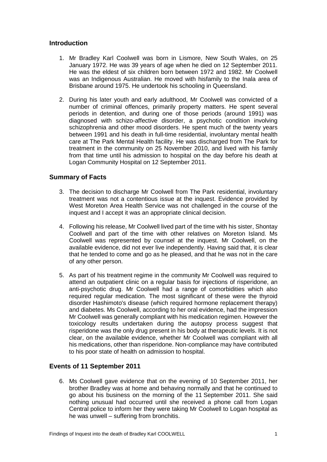#### **Introduction**

- 1. Mr Bradley Karl Coolwell was born in Lismore, New South Wales, on 25 January 1972. He was 39 years of age when he died on 12 September 2011. He was the eldest of six children born between 1972 and 1982. Mr Coolwell was an Indigenous Australian. He moved with hisfamily to the Inala area of Brisbane around 1975. He undertook his schooling in Queensland.
- 2. During his later youth and early adulthood, Mr Coolwell was convicted of a number of criminal offences, primarily property matters. He spent several periods in detention, and during one of those periods (around 1991) was diagnosed with schizo-affective disorder, a psychotic condition involving schizophrenia and other mood disorders. He spent much of the twenty years between 1991 and his death in full-time residential, involuntary mental health care at The Park Mental Health facility. He was discharged from The Park for treatment in the community on 25 November 2010, and lived with his family from that time until his admission to hospital on the day before his death at Logan Community Hospital on 12 September 2011.

#### <span id="page-3-0"></span>**Summary of Facts**

- 3. The decision to discharge Mr Coolwell from The Park residential, involuntary treatment was not a contentious issue at the inquest. Evidence provided by West Moreton Area Health Service was not challenged in the course of the inquest and I accept it was an appropriate clinical decision.
- 4. Following his release, Mr Coolwell lived part of the time with his sister, Shontay Coolwell and part of the time with other relatives on Moreton Island. Ms Coolwell was represented by counsel at the inquest. Mr Coolwell, on the available evidence, did not ever live independently. Having said that, it is clear that he tended to come and go as he pleased, and that he was not in the care of any other person.
- 5. As part of his treatment regime in the community Mr Coolwell was required to attend an outpatient clinic on a regular basis for injections of risperidone, an anti-psychotic drug. Mr Coolwell had a range of comorbidities which also required regular medication. The most significant of these were the thyroid disorder Hashimoto's disease (which required hormone replacement therapy) and diabetes. Ms Coolwell, according to her oral evidence, had the impression Mr Coolwell was generally compliant with his medication regimen. However the toxicology results undertaken during the autopsy process suggest that risperidone was the only drug present in his body at therapeutic levels. It is not clear, on the available evidence, whether Mr Coolwell was compliant with all his medications, other than risperidone. Non-compliance may have contributed to his poor state of health on admission to hospital.

#### <span id="page-3-1"></span>**Events of 11 September 2011**

6. Ms Coolwell gave evidence that on the evening of 10 September 2011, her brother Bradley was at home and behaving normally and that he continued to go about his business on the morning of the 11 September 2011. She said nothing unusual had occurred until she received a phone call from Logan Central police to inform her they were taking Mr Coolwell to Logan hospital as he was unwell – suffering from bronchitis.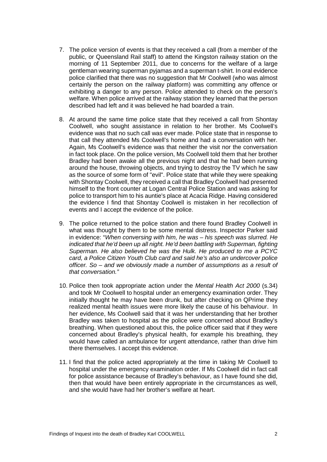- 7. The police version of events is that they received a call (from a member of the public, or Queensland Rail staff) to attend the Kingston railway station on the morning of 11 September 2011, due to concerns for the welfare of a large gentleman wearing superman pyjamas and a superman t-shirt. In oral evidence police clarified that there was no suggestion that Mr Coolwell (who was almost certainly the person on the railway platform) was committing any offence or exhibiting a danger to any person. Police attended to check on the person's welfare. When police arrived at the railway station they learned that the person described had left and it was believed he had boarded a train.
- 8. At around the same time police state that they received a call from Shontay Coolwell, who sought assistance in relation to her brother. Ms Coolwell's evidence was that no such call was ever made. Police state that in response to that call they attended Ms Coolwell's home and had a conversation with her. Again, Ms Coolwell's evidence was that neither the visit nor the conversation in fact took place. On the police version, Ms Coolwell told them that her brother Bradley had been awake all the previous night and that he had been running around the house, throwing objects, and trying to destroy the TV which he saw as the source of some form of "evil". Police state that while they were speaking with Shontay Coolwell, they received a call that Bradley Coolwell had presented himself to the front counter at Logan Central Police Station and was asking for police to transport him to his auntie's place at Acacia Ridge. Having considered the evidence I find that Shontay Coolwell is mistaken in her recollection of events and I accept the evidence of the police.
- 9. The police returned to the police station and there found Bradley Coolwell in what was thought by them to be some mental distress. Inspector Parker said in evidence: "*When conversing with him, he was – his speech was slurred. He indicated that he'd been up all night. He'd been battling with Superman, fighting Superman. He also believed he was the Hulk. He produced to me a PCYC card, a Police Citizen Youth Club card and said he's also an undercover police officer. So – and we obviously made a number of assumptions as a result of that conversation."*
- 10. Police then took appropriate action under the *Mental Health Act 2000* (s.34) and took Mr Coolwell to hospital under an emergency examination order. They initially thought he may have been drunk, but after checking on QPrime they realized mental health issues were more likely the cause of his behaviour. In her evidence, Ms Coolwell said that it was her understanding that her brother Bradley was taken to hospital as the police were concerned about Bradley's breathing. When questioned about this, the police officer said that if they were concerned about Bradley's physical health, for example his breathing, they would have called an ambulance for urgent attendance, rather than drive him there themselves. I accept this evidence.
- <span id="page-4-0"></span>11. I find that the police acted appropriately at the time in taking Mr Coolwell to hospital under the emergency examination order. If Ms Coolwell did in fact call for police assistance because of Bradley's behaviour, as I have found she did, then that would have been entirely appropriate in the circumstances as well, and she would have had her brother's welfare at heart.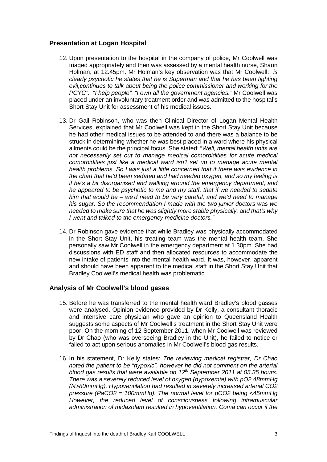#### **Presentation at Logan Hospital**

- 12. Upon presentation to the hospital in the company of police, Mr Coolwell was triaged appropriately and then was assessed by a mental health nurse, Shaun Holman, at 12.45pm. Mr Holman's key observation was that Mr Coolwell: *"is clearly psychotic he states that he is Superman and that he has been fighting evil,continues to talk about being the police commissioner and working for the PCYC". "I help people". "I own all the government agencies."* Mr Coolwell was placed under an involuntary treatment order and was admitted to the hospital's Short Stay Unit for assessment of his medical issues.
- 13. Dr Gail Robinson, who was then Clinical Director of Logan Mental Health Services, explained that Mr Coolwell was kept in the Short Stay Unit because he had other medical issues to be attended to and there was a balance to be struck in determining whether he was best placed in a ward where his physical ailments could be the principal focus. She stated: "*Well, mental health units are not necessarily set out to manage medical comorbidities for acute medical comorbidities just like a medical ward isn't set up to manage acute mental health problems. So I was just a little concerned that if there was evidence in the chart that he'd been sedated and had needed oxygen, and so my feeling is if he's a bit disorganised and walking around the emergency department, and he appeared to be psychotic to me and my staff, that if we needed to sedate him that would be – we'd need to be very careful, and we'd need to manage his sugar. So the recommendation I made with the two junior doctors was we needed to make sure that he was slightly more stable physically, and that's why I went and talked to the emergency medicine doctors."*
- 14. Dr Robinson gave evidence that while Bradley was physically accommodated in the Short Stay Unit, his treating team was the mental health team. She personally saw Mr Coolwell in the emergency department at 1.30pm. She had discussions with ED staff and then allocated resources to accommodate the new intake of patients into the mental health ward. It was, however, apparent and should have been apparent to the medical staff in the Short Stay Unit that Bradley Coolwell's medical health was problematic.

#### <span id="page-5-0"></span>**Analysis of Mr Coolwell's blood gases**

- 15. Before he was transferred to the mental health ward Bradley's blood gasses were analysed. Opinion evidence provided by Dr Kelly, a consultant thoracic and intensive care physician who gave an opinion to Queensland Health suggests some aspects of Mr Coolwell's treatment in the Short Stay Unit were poor. On the morning of 12 September 2011, when Mr Coolwell was reviewed by Dr Chao (who was overseeing Bradley in the Unit), he failed to notice or failed to act upon serious anomalies in Mr Coolwell's blood gas results.
- 16. In his statement, Dr Kelly states: *The reviewing medical registrar, Dr Chao noted the patient to be "hypoxic", however he did not comment on the arterial blood gas results that were available on 12th September 2011 at 05.35 hours. There was a severely reduced level of oxygen (hypoxemia) with pO2 48mmHg (N>80mmHg). Hypoventilation had resulted in severely increased arterial CO2 pressure (PaCO2 = 100mmHg). The normal level for pCO2 being <45mmHg However, the reduced level of consciousness following intramuscular administration of midazolam resulted in hypoventilation. Coma can occur if the*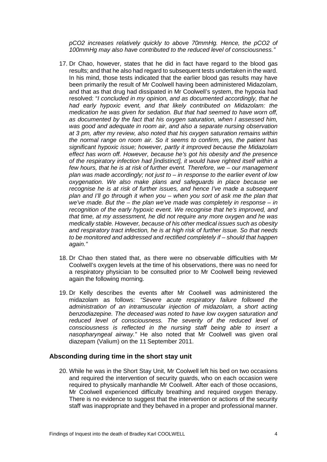*pCO2 increases relatively quickly to above 70mmHg. Hence, the pCO2 of 100mmHg may also have contributed to the reduced level of consciousness."*

- 17. Dr Chao, however, states that he did in fact have regard to the blood gas results; and that he also had regard to subsequent tests undertaken in the ward. In his mind, those tests indicated that the earlier blood gas results may have been primarily the result of Mr Coolwell having been administered Midazolam, and that as that drug had dissipated in Mr Coolwell's system, the hypoxia had resolved: "*I concluded in my opinion, and as documented accordingly, that he had early hypoxic event, and that likely contributed on Midazolam: the medication he was given for sedation. But that had seemed to have worn off, as documented by the fact that his oxygen saturation, when I assessed him, was good and adequate in room air, and also a separate nursing observation at 3 pm, after my review, also noted that his oxygen saturation remains within the normal range on room air. So it seems to confirm, yes, the patient has significant hypoxic issue; however, partly it improved because the Midazolam effect has worn off. However, because he's got his obesity and the presence of the respiratory infection had [indistinct], it would have righted itself within a few hours, that he is at risk of further event. Therefore, we – our management plan was made accordingly; not just to – in response to the earlier event of low oxygenation. We also make plans and safeguards in place because we recognise he is at risk of further issues, and hence I've made a subsequent plan and I'll go through it when you – when you sort of ask me the plan that we've made. But the – the plan we've made was completely in response – in recognition of the early hypoxic event. We recognise that he's improved, and that time, at my assessment, he did not require any more oxygen and he was medically stable. However, because of his other medical issues such as obesity and respiratory tract infection, he is at high risk of further issue. So that needs to be monitored and addressed and rectified completely if – should that happen again."*
- 18. Dr Chao then stated that, as there were no observable difficulties with Mr Coolwell's oxygen levels at the time of his observations, there was no need for a respiratory physician to be consulted prior to Mr Coolwell being reviewed again the following morning.
- 19. Dr Kelly describes the events after Mr Coolwell was administered the midazolam as follows: *"Severe acute respiratory failure followed the administration of an intramuscular injection of midazolam, a short acting benzodiazepine. The deceased was noted to have low oxygen saturation and*  reduced level of consciousness. The severity of the reduced level of *consciousness is reflected in the nursing staff being able to insert a nasopharyngeal airway."* He also noted that Mr Coolwell was given oral diazepam (Valium) on the 11 September 2011.

#### <span id="page-6-0"></span>**Absconding during time in the short stay unit**

20. While he was in the Short Stay Unit, Mr Coolwell left his bed on two occasions and required the intervention of security guards, who on each occasion were required to physically manhandle Mr Coolwell. After each of those occasions, Mr Coolwell experienced difficulty breathing and required oxygen therapy. There is no evidence to suggest that the intervention or actions of the security staff was inappropriate and they behaved in a proper and professional manner.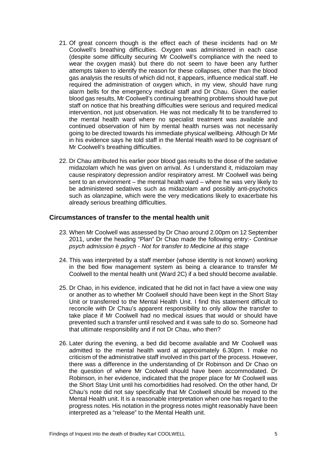- 21. Of great concern though is the effect each of these incidents had on Mr Coolwell's breathing difficulties. Oxygen was administered in each case (despite some difficulty securing Mr Coolwell's compliance with the need to wear the oxygen mask) but there do not seem to have been any further attempts taken to identify the reason for these collapses, other than the blood gas analysis the results of which did not, it appears, influence medical staff. He required the administration of oxygen which, in my view, should have rung alarm bells for the emergency medical staff and Dr Chau. Given the earlier blood gas results, Mr Coolwell's continuing breathing problems should have put staff on notice that his breathing difficulties were serious and required medical intervention, not just observation. He was not medically fit to be transferred to the mental health ward where no specialist treatment was available and continued observation of him by mental health nurses was not necessarily going to be directed towards his immediate physical wellbeing. Although Dr Mir in his evidence says he told staff in the Mental Health ward to be cognisant of Mr Coolwell's breathing difficulties.
- 22. Dr Chau attributed his earlier poor blood gas results to the dose of the sedative midazolam which he was given on arrival. As I understand it, midazolam may cause respiratory depression and/or respiratory arrest. Mr Coolwell was being sent to an environment – the mental health ward – where he was very likely to be administered sedatives such as midazolam and possibly anti-psychotics such as olanzapine, which were the very medications likely to exacerbate his already serious breathing difficulties.

#### <span id="page-7-0"></span>**Circumstances of transfer to the mental health unit**

- 23. When Mr Coolwell was assessed by Dr Chao around 2.00pm on 12 September 2011, under the heading "Plan" Dr Chao made the following entry:- *Continue psych admission* è *psych* - *Not for transfer to Medicine at this stage*
- 24. This was interpreted by a staff member (whose identity is not known) working in the bed flow management system as being a clearance to transfer Mr Coolwell to the mental health unit (Ward 2C) if a bed should become available.
- 25. Dr Chao, in his evidence, indicated that he did not in fact have a view one way or another as to whether Mr Coolwell should have been kept in the Short Stay Unit or transferred to the Mental Health Unit. I find this statement difficult to reconcile with Dr Chau's apparent responsibility to only allow the transfer to take place if Mr Coolwell had no medical issues that would or should have prevented such a transfer until resolved and it was safe to do so. Someone had that ultimate responsibility and if not Dr Chau, who then?
- 26. Later during the evening, a bed did become available and Mr Coolwell was admitted to the mental health ward at approximately 6.30pm. I make no criticism of the administrative staff involved in this part of the process. However, there was a difference in the understanding of Dr Robinson and Dr Chao on the question of where Mr Coolwell should have been accommodated. Dr Robinson, in her evidence, indicated that the proper place for Mr Coolwell was the Short Stay Unit until his comorbidities had resolved. On the other hand, Dr Chau's note did not say specifically that Mr Coolwell should be moved to the Mental Health unit. It is a reasonable interpretation when one has regard to the progress notes. His notation in the progress notes might reasonably have been interpreted as a "release" to the Mental Health unit.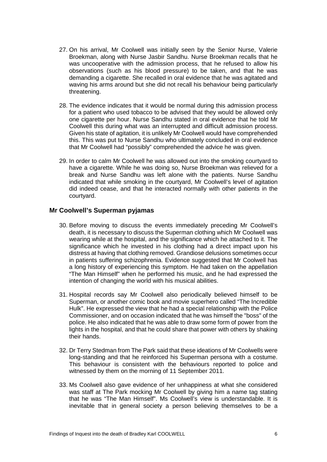- 27. On his arrival, Mr Coolwell was initially seen by the Senior Nurse, Valerie Broekman, along with Nurse Jasbir Sandhu. Nurse Broekman recalls that he was uncooperative with the admission process, that he refused to allow his observations (such as his blood pressure) to be taken, and that he was demanding a cigarette. She recalled in oral evidence that he was agitated and waving his arms around but she did not recall his behaviour being particularly threatening.
- 28. The evidence indicates that it would be normal during this admission process for a patient who used tobacco to be advised that they would be allowed only one cigarette per hour. Nurse Sandhu stated in oral evidence that he told Mr Coolwell this during what was an interrupted and difficult admission process. Given his state of agitation, it is unlikely Mr Coolwell would have comprehended this. This was put to Nurse Sandhu who ultimately concluded in oral evidence that Mr Coolwell had "possibly" comprehended the advice he was given.
- 29. In order to calm Mr Coolwell he was allowed out into the smoking courtyard to have a cigarette. While he was doing so, Nurse Broekman was relieved for a break and Nurse Sandhu was left alone with the patients. Nurse Sandhu indicated that while smoking in the courtyard, Mr Coolwell's level of agitation did indeed cease, and that he interacted normally with other patients in the courtyard.

#### **Mr Coolwell's Superman pyjamas**

- <span id="page-8-0"></span>30. Before moving to discuss the events immediately preceding Mr Coolwell's death, it is necessary to discuss the Superman clothing which Mr Coolwell was wearing while at the hospital, and the significance which he attached to it. The significance which he invested in his clothing had a direct impact upon his distress at having that clothing removed. Grandiose delusions sometimes occur in patients suffering schizophrenia. Evidence suggested that Mr Coolwell has a long history of experiencing this symptom. He had taken on the appellation "The Man Himself" when he performed his music, and he had expressed the intention of changing the world with his musical abilities.
- 31. Hospital records say Mr Coolwell also periodically believed himself to be Superman, or another comic book and movie superhero called "The Incredible Hulk". He expressed the view that he had a special relationship with the Police Commissioner, and on occasion indicated that he was himself the "boss" of the police. He also indicated that he was able to draw some form of power from the lights in the hospital, and that he could share that power with others by shaking their hands.
- 32. Dr Terry Stedman from The Park said that these ideations of Mr Coolwells were long-standing and that he reinforced his Superman persona with a costume. This behaviour is consistent with the behaviours reported to police and witnessed by them on the morning of 11 September 2011.
- 33. Ms Coolwell also gave evidence of her unhappiness at what she considered was staff at The Park mocking Mr Coolwell by giving him a name tag stating that he was "The Man Himself". Ms Coolwell's view is understandable. It is inevitable that in general society a person believing themselves to be a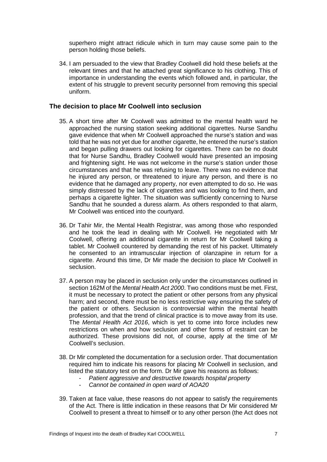superhero might attract ridicule which in turn may cause some pain to the person holding those beliefs.

34. I am persuaded to the view that Bradley Coolwell did hold these beliefs at the relevant times and that he attached great significance to his clothing. This of importance in understanding the events which followed and, in particular, the extent of his struggle to prevent security personnel from removing this special uniform.

#### **The decision to place Mr Coolwell into seclusion**

- <span id="page-9-0"></span>35. A short time after Mr Coolwell was admitted to the mental health ward he approached the nursing station seeking additional cigarettes. Nurse Sandhu gave evidence that when Mr Coolwell approached the nurse's station and was told that he was not yet due for another cigarette, he entered the nurse's station and began pulling drawers out looking for cigarettes. There can be no doubt that for Nurse Sandhu, Bradley Coolwell would have presented an imposing and frightening sight. He was not welcome in the nurse's station under those circumstances and that he was refusing to leave. There was no evidence that he injured any person, or threatened to injure any person, and there is no evidence that he damaged any property, nor even attempted to do so. He was simply distressed by the lack of cigarettes and was looking to find them, and perhaps a cigarette lighter. The situation was sufficiently concerning to Nurse Sandhu that he sounded a duress alarm. As others responded to that alarm, Mr Coolwell was enticed into the courtyard.
- 36. Dr Tahir Mir, the Mental Health Registrar, was among those who responded and he took the lead in dealing with Mr Coolwell. He negotiated with Mr Coolwell, offering an additional cigarette in return for Mr Coolwell taking a tablet. Mr Coolwell countered by demanding the rest of his packet. Ultimately he consented to an intramuscular injection of olanzapine in return for a cigarette. Around this time, Dr Mir made the decision to place Mr Coolwell in seclusion.
- 37. A person may be placed in seclusion only under the circumstances outlined in section 162M of the *Mental Health Act 2000*. Two conditions must be met. First, it must be necessary to protect the patient or other persons from any physical harm; and second, there must be no less restrictive way ensuring the safety of the patient or others. Seclusion is controversial within the mental health profession, and that the trend of clinical practice is to move away from its use. The *Mental Health Act 2016*, which is yet to come into force includes new restrictions on when and how seclusion and other forms of restraint can be authorized. These provisions did not, of course, apply at the time of Mr Coolwell's seclusion.
- 38. Dr Mir completed the documentation for a seclusion order. That documentation required him to indicate his reasons for placing Mr Coolwell in seclusion, and listed the statutory test on the form. Dr Mir gave his reasons as follows:
	- *Patient aggressive and destructive towards hospital property*
	- *Cannot be contained in open ward of AOA20*
- 39. Taken at face value, these reasons do not appear to satisfy the requirements of the Act. There is little indication in these reasons that Dr Mir considered Mr Coolwell to present a threat to himself or to any other person (the Act does not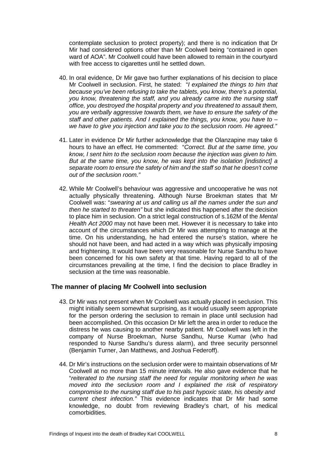contemplate seclusion to protect property); and there is no indication that Dr Mir had considered options other than Mr Coolwell being "contained in open ward of AOA". Mr Coolwell could have been allowed to remain in the courtyard with free access to cigarettes until he settled down.

- 40. In oral evidence, Dr Mir gave two further explanations of his decision to place Mr Coolwell in seclusion. First, he stated: "*I explained the things to him that because you've been refusing to take the tablets, you know, there's a potential, you know, threatening the staff, and you already came into the nursing staff office, you destroyed the hospital property and you threatened to assault them, you are verbally aggressive towards them, we have to ensure the safety of the staff and other patients. And I explained the things, you know, you have to – we have to give you injection and take you to the seclusion room. He agreed."*
- 41. Later in evidence Dr Mir further acknowledge that the Olanzapine may take 6 hours to have an effect. He commented: "*Correct. But at the same time, you know, I sent him to the seclusion room because the injection was given to him. But at the same time, you know, he was kept into the isolation [indistinct] a separate room to ensure the safety of him and the staff so that he doesn't come out of the seclusion room."*
- 42. While Mr Coolwell's behaviour was aggressive and uncooperative he was not actually physically threatening. Although Nurse Broekman states that Mr Coolwell was: "*swearing at us and calling us all the names under the sun and then he started to threaten"* but she indicated this happened after the decision to place him in seclusion. On a strict legal construction of s.162M of the *Mental Health Act 2000* may not have been met. However it is necessary to take into account of the circumstances which Dr Mir was attempting to manage at the time. On his understanding, he had entered the nurse's station, where he should not have been, and had acted in a way which was physically imposing and frightening. It would have been very reasonable for Nurse Sandhu to have been concerned for his own safety at that time. Having regard to all of the circumstances prevailing at the time, I find the decision to place Bradley in seclusion at the time was reasonable.

#### <span id="page-10-0"></span>**The manner of placing Mr Coolwell into seclusion**

- 43. Dr Mir was not present when Mr Coolwell was actually placed in seclusion. This might initially seem somewhat surprising, as it would usually seem appropriate for the person ordering the seclusion to remain in place until seclusion had been accomplished. On this occasion Dr Mir left the area in order to reduce the distress he was causing to another nearby patient. Mr Coolwell was left in the company of Nurse Broekman, Nurse Sandhu, Nurse Kumar (who had responded to Nurse Sandhu's duress alarm), and three security personnel (Benjamin Turner, Jan Matthews, and Joshua Federoff).
- 44. Dr Mir's instructions on the seclusion order were to maintain observations of Mr Coolwell at no more than 15 minute intervals. He also gave evidence that he "*reiterated to the nursing staff the need for regular monitoring when he was moved into the seclusion room and I explained the risk of respiratory compromise to the nursing staff due to his past hypoxic state, his obesity and current chest infection."* This evidence indicates that Dr Mir had some knowledge, no doubt from reviewing Bradley's chart, of his medical comorbidities.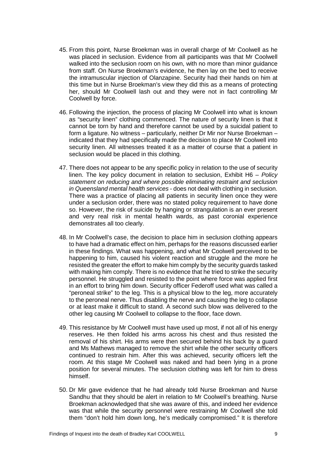- 45. From this point, Nurse Broekman was in overall charge of Mr Coolwell as he was placed in seclusion. Evidence from all participants was that Mr Coolwell walked into the seclusion room on his own, with no more than minor quidance from staff. On Nurse Broekman's evidence, he then lay on the bed to receive the intramuscular injection of Olanzapine. Security had their hands on him at this time but in Nurse Broekman's view they did this as a means of protecting her, should Mr Coolwell lash out and they were not in fact controlling Mr Coolwell by force.
- 46. Following the injection, the process of placing Mr Coolwell into what is known as "security linen" clothing commenced. The nature of security linen is that it cannot be torn by hand and therefore cannot be used by a suicidal patient to form a ligature. No witness – particularly, neither Dr Mir nor Nurse Broekman – indicated that they had specifically made the decision to place Mr Coolwell into security linen. All witnesses treated it as a matter of course that a patient in seclusion would be placed in this clothing.
- 47. There does not appear to be any specific policy in relation to the use of security linen. The key policy document in relation to seclusion, Exhibit H6 – *Policy statement on reducing and where possible eliminating restraint and seclusion in Queensland mental health services* - does not deal with clothing in seclusion. There was a practice of placing all patients in security linen once they were under a seclusion order, there was no stated policy requirement to have done so. However, the risk of suicide by hanging or strangulation is an ever present and very real risk in mental health wards, as past coronial experience demonstrates all too clearly.
- 48. In Mr Coolwell's case, the decision to place him in seclusion clothing appears to have had a dramatic effect on him, perhaps for the reasons discussed earlier in these findings. What was happening, and what Mr Coolwell perceived to be happening to him, caused his violent reaction and struggle and the more he resisted the greater the effort to make him comply by the security guards tasked with making him comply. There is no evidence that he tried to strike the security personnel. He struggled and resisted to the point where force was applied first in an effort to bring him down. Security officer Federoff used what was called a "peroneal strike" to the leg. This is a physical blow to the leg, more accurately to the peroneal nerve. Thus disabling the nerve and causing the leg to collapse or at least make it difficult to stand. A second such blow was delivered to the other leg causing Mr Coolwell to collapse to the floor, face down.
- 49. This resistance by Mr Coolwell must have used up most, if not all of his energy reserves. He then folded his arms across his chest and thus resisted the removal of his shirt. His arms were then secured behind his back by a guard and Ms Mathews managed to remove the shirt while the other security officers continued to restrain him. After this was achieved, security officers left the room. At this stage Mr Coolwell was naked and had been lying in a prone position for several minutes. The seclusion clothing was left for him to dress himself.
- 50. Dr Mir gave evidence that he had already told Nurse Broekman and Nurse Sandhu that they should be alert in relation to Mr Coolwell's breathing. Nurse Broekman acknowledged that she was aware of this, and indeed her evidence was that while the security personnel were restraining Mr Coolwell she told them "don't hold him down long, he's medically compromised." It is therefore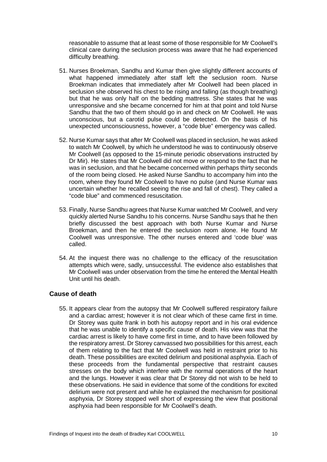reasonable to assume that at least some of those responsible for Mr Coolwell's clinical care during the seclusion process was aware that he had experienced difficulty breathing.

- 51. Nurses Broekman, Sandhu and Kumar then give slightly different accounts of what happened immediately after staff left the seclusion room. Nurse Broekman indicates that immediately after Mr Coolwell had been placed in seclusion she observed his chest to be rising and falling (as though breathing) but that he was only half on the bedding mattress. She states that he was unresponsive and she became concerned for him at that point and told Nurse Sandhu that the two of them should go in and check on Mr Coolwell. He was unconscious, but a carotid pulse could be detected. On the basis of his unexpected unconsciousness, however, a "code blue" emergency was called.
- 52. Nurse Kumar says that after Mr Coolwell was placed in seclusion, he was asked to watch Mr Coolwell, by which he understood he was to continuously observe Mr Coolwell (as opposed to the 15-minute periodic observations instructed by Dr Mir). He states that Mr Coolwell did not move or respond to the fact that he was in seclusion, and that he became concerned within perhaps thirty seconds of the room being closed. He asked Nurse Sandhu to accompany him into the room, where they found Mr Coolwell to have no pulse (and Nurse Kumar was uncertain whether he recalled seeing the rise and fall of chest). They called a "code blue" and commenced resuscitation.
- 53. Finally, Nurse Sandhu agrees that Nurse Kumar watched Mr Coolwell, and very quickly alerted Nurse Sandhu to his concerns. Nurse Sandhu says that he then briefly discussed the best approach with both Nurse Kumar and Nurse Broekman, and then he entered the seclusion room alone. He found Mr Coolwell was unresponsive. The other nurses entered and 'code blue' was called.
- 54. At the inquest there was no challenge to the efficacy of the resuscitation attempts which were, sadly, unsuccessful. The evidence also establishes that Mr Coolwell was under observation from the time he entered the Mental Health Unit until his death.

#### <span id="page-12-0"></span>**Cause of death**

55. It appears clear from the autopsy that Mr Coolwell suffered respiratory failure and a cardiac arrest; however it is not clear which of these came first in time. Dr Storey was quite frank in both his autopsy report and in his oral evidence that he was unable to identify a specific cause of death. His view was that the cardiac arrest is likely to have come first in time, and to have been followed by the respiratory arrest. Dr Storey canvassed two possibilities for this arrest, each of them relating to the fact that Mr Coolwell was held in restraint prior to his death. These possibilities are excited delirium and positional asphyxia. Each of these proceeds from the fundamental perspective that restraint causes stresses on the body which interfere with the normal operations of the heart and the lungs. However it was clear that Dr Storey did not wish to be held to these observations. He said in evidence that some of the conditions for excited delirium were not present and while he explained the mechanism for positional asphyxia, Dr Storey stopped well short of expressing the view that positional asphyxia had been responsible for Mr Coolwell's death.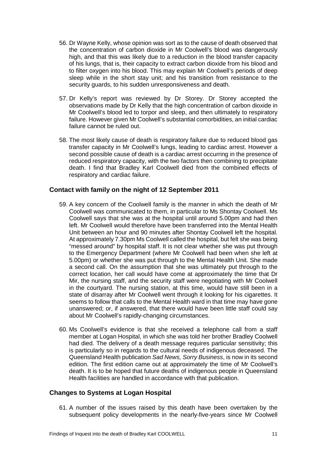- 56. Dr Wayne Kelly, whose opinion was sort as to the cause of death observed that the concentration of carbon dioxide in Mr Coolwell's blood was dangerously high, and that this was likely due to a reduction in the blood transfer capacity of his lungs, that is, their capacity to extract carbon dioxide from his blood and to filter oxygen into his blood. This may explain Mr Coolwell's periods of deep sleep while in the short stay unit; and his transition from resistance to the security guards, to his sudden unresponsiveness and death.
- 57. Dr Kelly's report was reviewed by Dr Storey. Dr Storey accepted the observations made by Dr Kelly that the high concentration of carbon dioxide in Mr Coolwell's blood led to torpor and sleep, and then ultimately to respiratory failure. However given Mr Coolwell's substantial comorbidities, an initial cardiac failure cannot be ruled out.
- 58. The most likely cause of death is respiratory failure due to reduced blood gas transfer capacity in Mr Coolwell's lungs, leading to cardiac arrest. However a second possible cause of death is a cardiac arrest occurring in the presence of reduced respiratory capacity, with the two factors then combining to precipitate death. I find that Bradley Karl Coolwell died from the combined effects of respiratory and cardiac failure.

#### <span id="page-13-0"></span>**Contact with family on the night of 12 September 2011**

- 59. A key concern of the Coolwell family is the manner in which the death of Mr Coolwell was communicated to them, in particular to Ms Shontay Coolwell. Ms Coolwell says that she was at the hospital until around 5.00pm and had then left. Mr Coolwell would therefore have been transferred into the Mental Health Unit between an hour and 90 minutes after Shontay Coolwell left the hospital. At approximately 7.30pm Ms Coolwell called the hospital, but felt she was being "messed around" by hospital staff. It is not clear whether she was put through to the Emergency Department (where Mr Coolwell had been when she left at 5.00pm) or whether she was put through to the Mental Health Unit. She made a second call. On the assumption that she was ultimately put through to the correct location, her call would have come at approximately the time that Dr Mir, the nursing staff, and the security staff were negotiating with Mr Coolwell in the courtyard. The nursing station, at this time, would have still been in a state of disarray after Mr Coolwell went through it looking for his cigarettes. It seems to follow that calls to the Mental Health ward in that time may have gone unanswered; or, if answered, that there would have been little staff could say about Mr Coolwell's rapidly-changing circumstances.
- 60. Ms Coolwell's evidence is that she received a telephone call from a staff member at Logan Hospital, in which she was told her brother Bradley Coolwell had died. The delivery of a death message requires particular sensitivity; this is particularly so in regards to the cultural needs of indigenous deceased. The Queensland Health publication *Sad News, Sorry Business*, is now in its second edition. The first edition came out at approximately the time of Mr Coolwell's death. It is to be hoped that future deaths of indigenous people in Queensland Health facilities are handled in accordance with that publication.

#### <span id="page-13-1"></span>**Changes to Systems at Logan Hospital**

61. A number of the issues raised by this death have been overtaken by the subsequent policy developments in the nearly-five-years since Mr Coolwell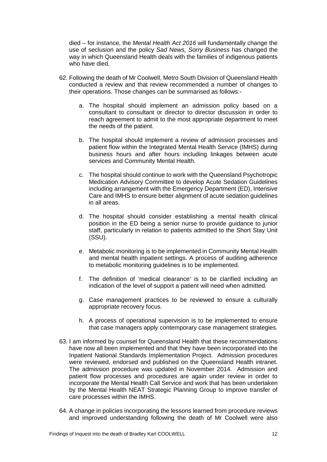died – for instance, the *Mental Health Act 2016* will fundamentally change the use of seclusion and the policy *Sad News, Sorry Business* has changed the way in which Queensland Health deals with the families of indigenous patients who have died.

- 62. Following the death of Mr Coolwell, Metro South Division of Queensland Health conducted a review and that review recommended a number of changes to their operations. Those changes can be summarised as follows:
	- a. The hospital should implement an admission policy based on a consultant to consultant or director to director discussion in order to reach agreement to admit to the most appropriate department to meet the needs of the patient.
	- b. The hospital should implement a review of admission processes and patient flow within the Integrated Mental Health Service (IMHS) during business hours and after hours including linkages between acute services and Community Mental Health.
	- c. The hospital should continue to work with the Queensland Psychotropic Medication Advisory Committee to develop Acute Sedation Guidelines including arrangement with the Emergency Department (ED), Intensive Care and IMHS to ensure better alignment of acute sedation guidelines in all areas.
	- d. The hospital should consider establishing a mental health clinical position in the ED being a senior nurse to provide guidance to junior staff, particularly in relation to patients admitted to the Short Stay Unit (SSU).
	- e. Metabolic monitoring is to be implemented in Community Mental Health and mental health inpatient settings. A process of auditing adherence to metabolic monitoring guidelines is to be implemented.
	- f. The definition of 'medical clearance' is to be clarified including an indication of the level of support a patient will need when admitted.
	- g. Case management practices to be reviewed to ensure a culturally appropriate recovery focus.
	- h. A process of operational supervision is to be implemented to ensure that case managers apply contemporary case management strategies.
- 63. I am informed by counsel for Queensland Health that these recommendations have now all been implemented and that they have been incorporated into the Inpatient National Standards Implementation Project. Admission procedures were reviewed, endorsed and published on the Queensland Health intranet. The admission procedure was updated in November 2014. Admission and patient flow processes and procedures are again under review in order to incorporate the Mental Health Call Service and work that has been undertaken by the Mental Health NEAT Strategic Planning Group to improve transfer of care processes within the IMHS.
- 64. A change in policies incorporating the lessons learned from procedure reviews and improved understanding following the death of Mr Coolwell were also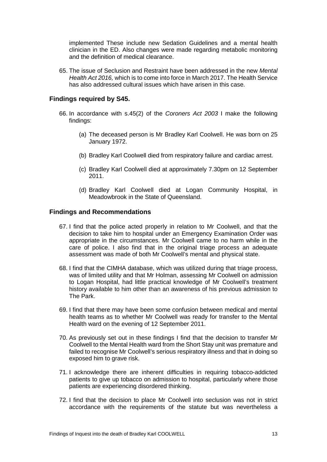implemented These include new Sedation Guidelines and a mental health clinician in the ED. Also changes were made regarding metabolic monitoring and the definition of medical clearance.

65. The issue of Seclusion and Restraint have been addressed in the new *Mental Health Act 2016,* which is to come into force in March 2017. The Health Service has also addressed cultural issues which have arisen in this case.

#### <span id="page-15-0"></span>**Findings required by S45.**

- 66. In accordance with s.45(2) of the *Coroners Act 2003* I make the following findings:
	- (a) The deceased person is Mr Bradley Karl Coolwell. He was born on 25 January 1972.
	- (b) Bradley Karl Coolwell died from respiratory failure and cardiac arrest.
	- (c) Bradley Karl Coolwell died at approximately 7.30pm on 12 September 2011.
	- (d) Bradley Karl Coolwell died at Logan Community Hospital, in Meadowbrook in the State of Queensland.

#### <span id="page-15-1"></span>**Findings and Recommendations**

- 67. I find that the police acted properly in relation to Mr Coolwell, and that the decision to take him to hospital under an Emergency Examination Order was appropriate in the circumstances. Mr Coolwell came to no harm while in the care of police. I also find that in the original triage process an adequate assessment was made of both Mr Coolwell's mental and physical state.
- 68. I find that the CIMHA database, which was utilized during that triage process, was of limited utility and that Mr Holman, assessing Mr Coolwell on admission to Logan Hospital, had little practical knowledge of Mr Coolwell's treatment history available to him other than an awareness of his previous admission to The Park.
- 69. I find that there may have been some confusion between medical and mental health teams as to whether Mr Coolwell was ready for transfer to the Mental Health ward on the evening of 12 September 2011.
- 70. As previously set out in these findings I find that the decision to transfer Mr Coolwell to the Mental Health ward from the Short Stay unit was premature and failed to recognise Mr Coolwell's serious respiratory illness and that in doing so exposed him to grave risk.
- 71. I acknowledge there are inherent difficulties in requiring tobacco-addicted patients to give up tobacco on admission to hospital, particularly where those patients are experiencing disordered thinking.
- 72. I find that the decision to place Mr Coolwell into seclusion was not in strict accordance with the requirements of the statute but was nevertheless a